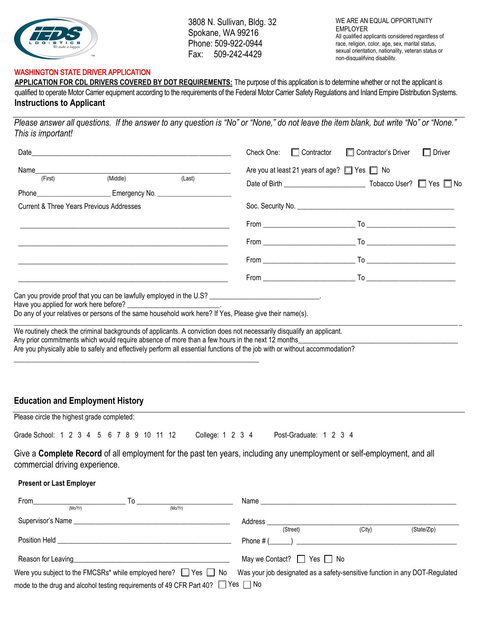

3808 N. Sullivan, Bldg. 32 Spokane, WA 99216 Phone: 509-922-0944 Fax: 509-242-4429

WE ARE AN EQUAL OPPORTUNITY EMPLOYER All qualified applicants considered regardless of race, religion, color, age, sex, marital status, sexual orientation, nationality, veteran status or non-disqualifying disability.

#### WASHINGTON STATE DRIVER APPLICATION

**APPLICATION FOR CDL DRIVERS COVERED BY DOT REQUIREMENTS:** The purpose of this application is to determine whether or not the applicant is qualified to operate Motor Carrier equipment according to the requirements of the Federal Motor Carrier Safety Regulations and Inland Empire Distribution Systems. **Instructions to Applicant** 

*Please answer all questions. If the answer to any question is "No" or "None," do not leave the item blank, but write "No" or "None." This is important!* 

|                                                                                                                                                                                                                                                                                                                                                          | $\Box$ Driver<br>□ Contractor □ Contractor's Driver<br>Check One: |
|----------------------------------------------------------------------------------------------------------------------------------------------------------------------------------------------------------------------------------------------------------------------------------------------------------------------------------------------------------|-------------------------------------------------------------------|
| Name <sub>(First)</sub> (Middle)<br>(Last)<br>Phone___________________________Emergency No. __________________________________                                                                                                                                                                                                                           | Are you at least 21 years of age? $\Box$ Yes $\Box$ No            |
| Current & Three Years Previous Addresses                                                                                                                                                                                                                                                                                                                 |                                                                   |
|                                                                                                                                                                                                                                                                                                                                                          |                                                                   |
|                                                                                                                                                                                                                                                                                                                                                          |                                                                   |
|                                                                                                                                                                                                                                                                                                                                                          |                                                                   |
|                                                                                                                                                                                                                                                                                                                                                          |                                                                   |
| Can you provide proof that you can be lawfully employed in the U.S? _______________________________.<br>Have you applied for work here before? _____________________________.<br>Do any of your relatives or persons of the same household work here? If Yes, Please give their name(s).                                                                 |                                                                   |
| We routinely check the criminal backgrounds of applicants. A conviction does not necessarily disqualify an applicant.<br>Any prior commitments which would require absence of more than a few hours in the next 12 months<br>Are you physically able to safely and effectively perform all essential functions of the job with or without accommodation? |                                                                   |

## **Education and Employment History**

Please circle the highest grade completed:

|  |  |  |  |  |  |  |  |  |  |  |  |  |  |  |  |  |  | Grade School: 1 2 3 4 5 6 7 8 9 10 11 12 College: 1 2 3 4 Post-Graduate: 1 2 3 4 |
|--|--|--|--|--|--|--|--|--|--|--|--|--|--|--|--|--|--|----------------------------------------------------------------------------------|
|--|--|--|--|--|--|--|--|--|--|--|--|--|--|--|--|--|--|----------------------------------------------------------------------------------|

Give a **Complete Record** of all employment for the past ten years, including any unemployment or self-employment, and all commercial driving experience.

### **Present or Last Employer**

|                   | (Mo/Yr)                                                                                   | lo. | (Mo/Yr) | Name and the contract of the contract of the contract of the contract of the contract of the contract of the contract of the contract of the contract of the contract of the contract of the contract of the contract of the c |                          |                                                                                                                                                       |
|-------------------|-------------------------------------------------------------------------------------------|-----|---------|--------------------------------------------------------------------------------------------------------------------------------------------------------------------------------------------------------------------------------|--------------------------|-------------------------------------------------------------------------------------------------------------------------------------------------------|
| Supervisor's Name |                                                                                           |     |         | Address and the contract of the contract of the contract of the contract of the contract of the contract of the                                                                                                                |                          |                                                                                                                                                       |
|                   |                                                                                           |     |         | (Street)                                                                                                                                                                                                                       | (City)<br>Phone $\#$ ( ) | (State/Zip)                                                                                                                                           |
|                   | Reason for Leaving <b>Example 2018</b> Reason for Leaving                                 |     |         | May we Contact? $\Box$ Yes $\Box$ No                                                                                                                                                                                           |                          |                                                                                                                                                       |
|                   | mode to the drug and alcohol testing requirements of 49 CFR Part 40? $\Box$ Yes $\Box$ No |     |         |                                                                                                                                                                                                                                |                          | Were you subject to the FMCSRs* while employed here? $\Box$ Yes $\Box$ No Was your job designated as a safety-sensitive function in any DOT-Regulated |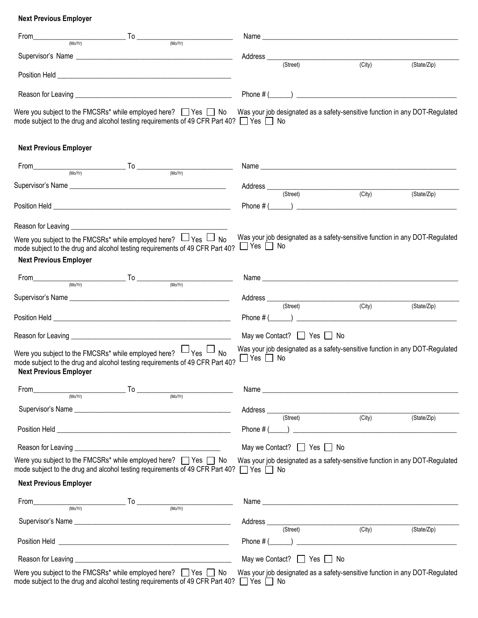## **Next Previous Employer**

| $From \n\n(Mo/Yr) \n\n(Mo/Yr) \n\n(Mo/Yr) \n\n(Mo/Yr)$                                                                                                                                                                                                                                   |                                                         |                         |                                      |                                     |                                                                             |
|------------------------------------------------------------------------------------------------------------------------------------------------------------------------------------------------------------------------------------------------------------------------------------------|---------------------------------------------------------|-------------------------|--------------------------------------|-------------------------------------|-----------------------------------------------------------------------------|
|                                                                                                                                                                                                                                                                                          |                                                         |                         |                                      |                                     |                                                                             |
|                                                                                                                                                                                                                                                                                          |                                                         | Address <sub>____</sub> | (Street)                             | (City)                              | (State/Zip)                                                                 |
|                                                                                                                                                                                                                                                                                          |                                                         |                         |                                      |                                     |                                                                             |
|                                                                                                                                                                                                                                                                                          |                                                         |                         |                                      |                                     |                                                                             |
| Were you subject to the FMCSRs* while employed here? Some Yes Some Was your job designated as a safety-sensitive function in any DOT-Regulated<br>mode subject to the drug and alcohol testing requirements of 49 CFR Part 40? $\Box$ Yes $\Box$ No                                      |                                                         |                         |                                      |                                     |                                                                             |
| <b>Next Previous Employer</b>                                                                                                                                                                                                                                                            |                                                         |                         |                                      |                                     |                                                                             |
| $From $ $To $ $(MoYt)$ $NoYt)$                                                                                                                                                                                                                                                           |                                                         |                         |                                      |                                     |                                                                             |
|                                                                                                                                                                                                                                                                                          |                                                         |                         | Address (Street) (C                  |                                     |                                                                             |
|                                                                                                                                                                                                                                                                                          |                                                         |                         |                                      | (City)                              | (State/Zip)                                                                 |
|                                                                                                                                                                                                                                                                                          |                                                         |                         |                                      |                                     |                                                                             |
| Were you subject to the FMCSRs* while employed here? $\Box$ Yes $\Box$ No<br>mode subject to the drug and alcohol testing requirements of 49 CFR Part 40?<br><b>Next Previous Employer</b>                                                                                               |                                                         | $\Box$ Yes $\Box$ No    |                                      |                                     | Was your job designated as a safety-sensitive function in any DOT-Regulated |
| $From $ To $_{(MoYr)}$ To $_{(MoYr)}$                                                                                                                                                                                                                                                    |                                                         |                         |                                      |                                     |                                                                             |
|                                                                                                                                                                                                                                                                                          |                                                         |                         | Address (Street)                     | (City)                              | (State/Zip)                                                                 |
|                                                                                                                                                                                                                                                                                          |                                                         |                         |                                      |                                     |                                                                             |
|                                                                                                                                                                                                                                                                                          |                                                         |                         | May we Contact? $\Box$ Yes $\Box$ No |                                     |                                                                             |
| Were you subject to the FMCSRs* while employed here? $\Box$ Yes $\Box$ No<br>mode subject to the drug and alcohol testing requirements of 49 CFR Part 40?<br><b>Next Previous Employer</b>                                                                                               |                                                         | $\Box$ Yes $\Box$ No    |                                      |                                     | Was your job designated as a safety-sensitive function in any DOT-Regulated |
| From                                                                                                                                                                                                                                                                                     | $\frac{1}{\sqrt{10}}$ To $\frac{1}{\sqrt{100}}$ (Mo/Yr) |                         |                                      |                                     |                                                                             |
|                                                                                                                                                                                                                                                                                          |                                                         |                         |                                      | Address (Street) (City) (State/Zip) |                                                                             |
|                                                                                                                                                                                                                                                                                          |                                                         |                         |                                      |                                     |                                                                             |
|                                                                                                                                                                                                                                                                                          |                                                         |                         | May we Contact? $\Box$ Yes $\Box$ No |                                     |                                                                             |
| Were you subject to the FMCSRs* while employed here? $\Box$ Yes $\Box$ No<br>mode subject to the drug and alcohol testing requirements of 49 CFR Part 40?                                                                                                                                |                                                         | $\Box$ Yes $\Box$ No    |                                      |                                     | Was your job designated as a safety-sensitive function in any DOT-Regulated |
| <b>Next Previous Employer</b>                                                                                                                                                                                                                                                            |                                                         |                         |                                      |                                     |                                                                             |
| $From  \n\n  (Mo(Nt)  \n\n  (Mo(Nt)  \n\n  (Mo(Nt)  \n\n  (No(Nt)  \n\n  (No(Nt)  \n\n  (No(Nt)  \n\n  (No(Nt)  \n\n  (No(Nt)  \n\n  (No(Nt)  \n\n  (No(Nt)  \n\n  (No(Nt)  \n\n  (No(Nt)  \n\n  (No(Nt)  \n\n  (No(Nt)  \n\n  (No(Nt)  \n\n  (No(Nt)  \n\n  (No(Nt)  \n\n  (No(Nt)  \n$ |                                                         |                         |                                      |                                     |                                                                             |
|                                                                                                                                                                                                                                                                                          |                                                         |                         |                                      | Address (Street) (City)             | (State/Zip)                                                                 |
|                                                                                                                                                                                                                                                                                          |                                                         |                         |                                      |                                     |                                                                             |
|                                                                                                                                                                                                                                                                                          |                                                         |                         | May we Contact? $\Box$ Yes $\Box$ No |                                     |                                                                             |
| Were you subject to the FMCSRs* while employed here? $\Box$ Yes $\Box$ No<br>mode subject to the drug and alcohol testing requirements of 49 CFR Part 40? □ Yes □ No                                                                                                                     |                                                         |                         |                                      |                                     | Was your job designated as a safety-sensitive function in any DOT-Regulated |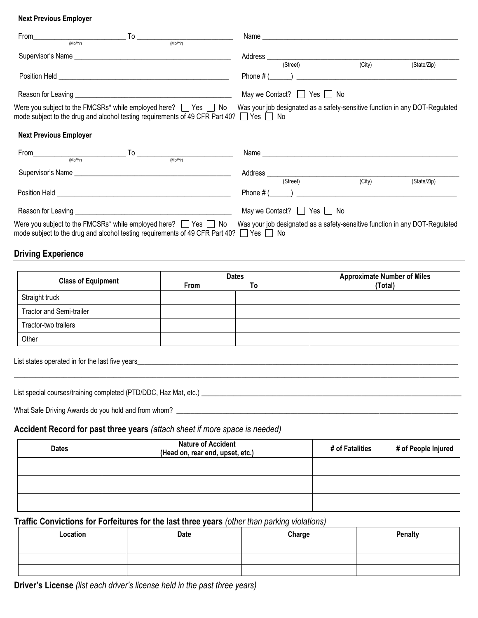#### **Next Previous Employer**

| From                                                                                                                                                                                                                           | To                |                                                                                                   | Name and the contract of the contract of the contract of the contract of the contract of the contract of the contract of the contract of the contract of the contract of the contract of the contract of the contract of the c |        |             |
|--------------------------------------------------------------------------------------------------------------------------------------------------------------------------------------------------------------------------------|-------------------|---------------------------------------------------------------------------------------------------|--------------------------------------------------------------------------------------------------------------------------------------------------------------------------------------------------------------------------------|--------|-------------|
| (Mo/Yr)                                                                                                                                                                                                                        |                   | (Mo/Yr)                                                                                           |                                                                                                                                                                                                                                |        |             |
|                                                                                                                                                                                                                                | Supervisor's Name |                                                                                                   | Address                                                                                                                                                                                                                        |        |             |
|                                                                                                                                                                                                                                |                   |                                                                                                   | (Street)                                                                                                                                                                                                                       | (City) | (State/Zip) |
|                                                                                                                                                                                                                                |                   |                                                                                                   | Phone $\#$ ( )                                                                                                                                                                                                                 |        |             |
|                                                                                                                                                                                                                                |                   |                                                                                                   | May we Contact? $\Box$ Yes $\Box$ No                                                                                                                                                                                           |        |             |
|                                                                                                                                                                                                                                |                   | mode subject to the drug and alcohol testing requirements of 49 CFR Part 40? $\Box$ Yes $\Box$ No | Were you subject to the FMCSRs* while employed here? $\Box$ Yes $\Box$ No Was your job designated as a safety-sensitive function in any DOT-Regulated                                                                          |        |             |
| <b>Next Previous Employer</b>                                                                                                                                                                                                  |                   |                                                                                                   |                                                                                                                                                                                                                                |        |             |
| From the contract of the contract of the contract of the contract of the contract of the contract of the contract of the contract of the contract of the contract of the contract of the contract of the contract of the contr |                   | $\mathsf{To}$ , and the set of $\mathsf{S}$                                                       | Name and the contract of the contract of the contract of the contract of the contract of the contract of the contract of the contract of the contract of the contract of the contract of the contract of the contract of the c |        |             |
| (Mo/Yr)                                                                                                                                                                                                                        |                   | (Mo/Yr)                                                                                           |                                                                                                                                                                                                                                |        |             |
|                                                                                                                                                                                                                                | Supervisor's Name |                                                                                                   | Address                                                                                                                                                                                                                        |        |             |
|                                                                                                                                                                                                                                |                   |                                                                                                   | (Street)                                                                                                                                                                                                                       | (City) | (State/Zip) |
|                                                                                                                                                                                                                                |                   |                                                                                                   |                                                                                                                                                                                                                                |        |             |

| Position Held                                                                                     | Phone # (                                                                                                                                             |
|---------------------------------------------------------------------------------------------------|-------------------------------------------------------------------------------------------------------------------------------------------------------|
| Reason for Leaving                                                                                | May we Contact?     Yes     No                                                                                                                        |
| mode subject to the drug and alcohol testing requirements of 49 CFR Part 40? $\Box$ Yes $\Box$ No | Were you subject to the FMCSRs* while employed here? $\Box$ Yes $\Box$ No Was your job designated as a safety-sensitive function in any DOT-Regulated |

# **Driving Experience**

|                                 |             | <b>Dates</b> | <b>Approximate Number of Miles</b> |  |  |
|---------------------------------|-------------|--------------|------------------------------------|--|--|
| <b>Class of Equipment</b>       | <b>From</b> | 10           | (Total)                            |  |  |
| Straight truck                  |             |              |                                    |  |  |
| <b>Tractor and Semi-trailer</b> |             |              |                                    |  |  |
| Tractor-two trailers            |             |              |                                    |  |  |
| Other                           |             |              |                                    |  |  |

 $\Box \Box \Box \Box \Box \Box \Box$  . The set of the set of the set of the set of the set of the set of the set of the set of the set of the set of the set of the set of the set of the set of the set of the set of the set of the set of the

List states operated in for the last five years\_\_\_\_\_\_\_\_\_\_\_\_\_\_\_\_\_\_\_\_\_\_\_\_\_\_\_\_\_\_\_\_\_\_\_\_\_\_\_\_\_\_\_\_\_\_\_\_\_\_\_\_\_\_\_\_\_\_\_\_\_\_\_\_\_\_\_\_\_\_\_\_\_\_\_\_\_\_\_\_\_\_\_\_\_\_\_\_\_\_

List special courses/training completed (PTD/DDC, Haz Mat, etc.) \_\_\_\_\_\_\_\_\_\_\_\_\_\_\_\_\_\_\_\_\_\_\_\_\_\_\_\_\_\_\_\_\_\_\_\_\_\_\_\_\_\_\_\_\_\_\_\_\_\_\_\_\_\_\_\_\_\_\_\_\_\_\_\_\_\_\_\_\_\_\_\_\_

What Safe Driving Awards do you hold and from whom? \_\_\_\_\_\_\_\_\_\_\_\_\_\_\_\_\_\_\_\_\_\_\_\_\_\_\_\_\_\_\_\_\_\_\_\_\_\_\_\_\_\_\_\_\_\_\_\_\_\_\_\_\_\_\_\_\_\_\_\_\_\_\_\_\_\_\_\_\_\_\_\_\_\_\_\_\_\_\_

# **Accident Record for past three years** *(attach sheet if more space is needed)*

| <b>Dates</b> | <b>Nature of Accident</b><br>(Head on, rear end, upset, etc.) | # of Fatalities | # of People Injured |
|--------------|---------------------------------------------------------------|-----------------|---------------------|
|              |                                                               |                 |                     |
|              |                                                               |                 |                     |
|              |                                                               |                 |                     |

# **Traffic Convictions for Forfeitures for the last three years** *(other than parking violations)*

| Location | Date | Charge | <b>Penalty</b> |
|----------|------|--------|----------------|
|          |      |        |                |
|          |      |        |                |
|          |      |        |                |

**Driver's License** *(list each driver's license held in the past three years)*